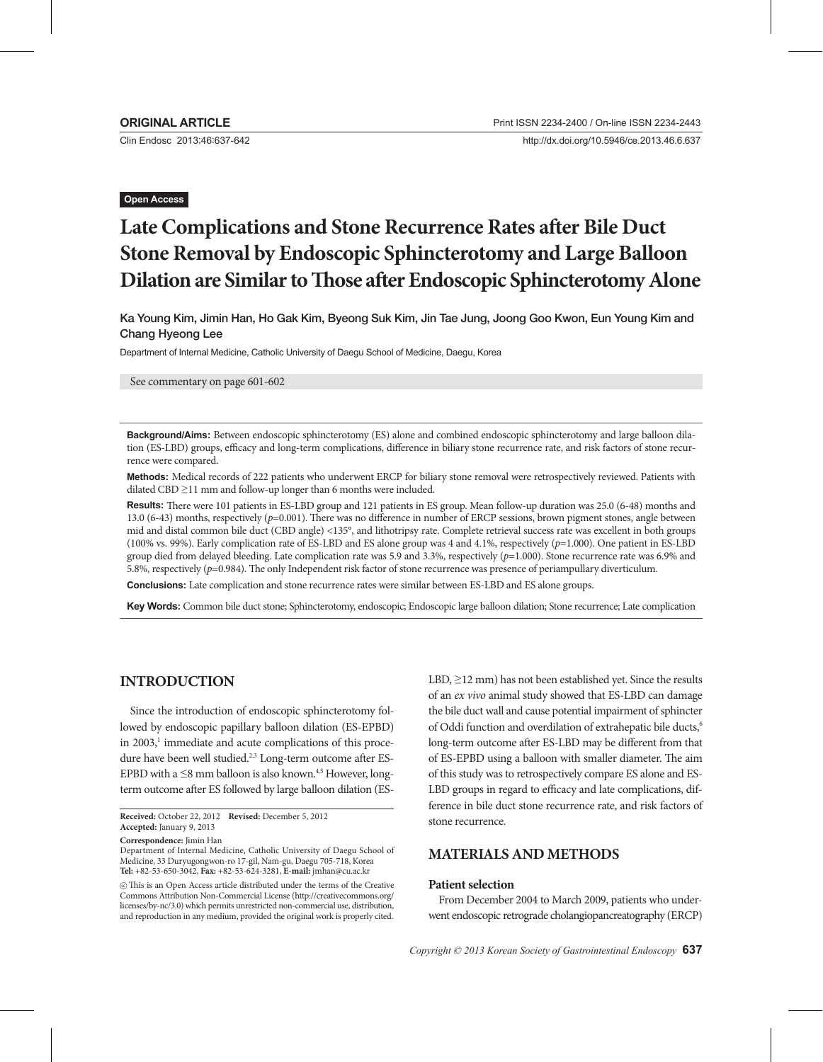Clin Endosc 2013;46:637-642

http://dx.doi.org/10.5946/ce.2013.46.6.637

## **Open Access**

# **Late Complications and Stone Recurrence Rates after Bile Duct Stone Removal by Endoscopic Sphincterotomy and Large Balloon Dilation are Similar to Those after Endoscopic Sphincterotomy Alone**

Ka Young Kim, Jimin Han, Ho Gak Kim, Byeong Suk Kim, Jin Tae Jung, Joong Goo Kwon, Eun Young Kim and Chang Hyeong Lee

Department of Internal Medicine, Catholic University of Daegu School of Medicine, Daegu, Korea

See commentary on page 601-602

**Background/Aims:** Between endoscopic sphincterotomy (ES) alone and combined endoscopic sphincterotomy and large balloon dilation (ES-LBD) groups, efficacy and long-term complications, difference in biliary stone recurrence rate, and risk factors of stone recurrence were compared.

**Methods:** Medical records of 222 patients who underwent ERCP for biliary stone removal were retrospectively reviewed. Patients with dilated CBD ≥11 mm and follow-up longer than 6 months were included.

**Results:** There were 101 patients in ES-LBD group and 121 patients in ES group. Mean follow-up duration was 25.0 (6-48) months and 13.0 (6-43) months, respectively (*p*=0.001). There was no difference in number of ERCP sessions, brown pigment stones, angle between mid and distal common bile duct (CBD angle) <135°, and lithotripsy rate. Complete retrieval success rate was excellent in both groups (100% vs. 99%). Early complication rate of ES-LBD and ES alone group was 4 and 4.1%, respectively (*p*=1.000). One patient in ES-LBD group died from delayed bleeding. Late complication rate was 5.9 and 3.3%, respectively (*p*=1.000). Stone recurrence rate was 6.9% and 5.8%, respectively (*p*=0.984). The only Independent risk factor of stone recurrence was presence of periampullary diverticulum.

**Conclusions:** Late complication and stone recurrence rates were similar between ES-LBD and ES alone groups.

**Key Words:** Common bile duct stone; Sphincterotomy, endoscopic; Endoscopic large balloon dilation; Stone recurrence; Late complication

# **INTRODUCTION**

Since the introduction of endoscopic sphincterotomy followed by endoscopic papillary balloon dilation (ES-EPBD) in 2003,<sup>1</sup> immediate and acute complications of this procedure have been well studied.<sup>2,3</sup> Long-term outcome after ES-EPBD with a  $\leq$ 8 mm balloon is also known.<sup>4,5</sup> However, longterm outcome after ES followed by large balloon dilation (ES-

**Received:** October 22, 2012 **Revised:** December 5, 2012 **Accepted:** January 9, 2013

**Correspondence:** Jimin Han

cc This is an Open Access article distributed under the terms of the Creative Commons Attribution Non-Commercial License (http://creativecommons.org/ licenses/by-nc/3.0) which permits unrestricted non-commercial use, distribution, and reproduction in any medium, provided the original work is properly cited.

LBD,  $\geq$ 12 mm) has not been established yet. Since the results of an *ex vivo* animal study showed that ES-LBD can damage the bile duct wall and cause potential impairment of sphincter of Oddi function and overdilation of extrahepatic bile ducts,<sup>6</sup> long-term outcome after ES-LBD may be different from that of ES-EPBD using a balloon with smaller diameter. The aim of this study was to retrospectively compare ES alone and ES-LBD groups in regard to efficacy and late complications, difference in bile duct stone recurrence rate, and risk factors of stone recurrence.

# **MATERIALS AND METHODS**

#### **Patient selection**

From December 2004 to March 2009, patients who underwent endoscopic retrograde cholangiopancreatography (ERCP)

Department of Internal Medicine, Catholic University of Daegu School of Medicine, 33 Duryugongwon-ro 17-gil, Nam-gu, Daegu 705-718, Korea **Tel:** +82-53-650-3042, **Fax:** +82-53-624-3281, **E-mail:** jmhan@cu.ac.kr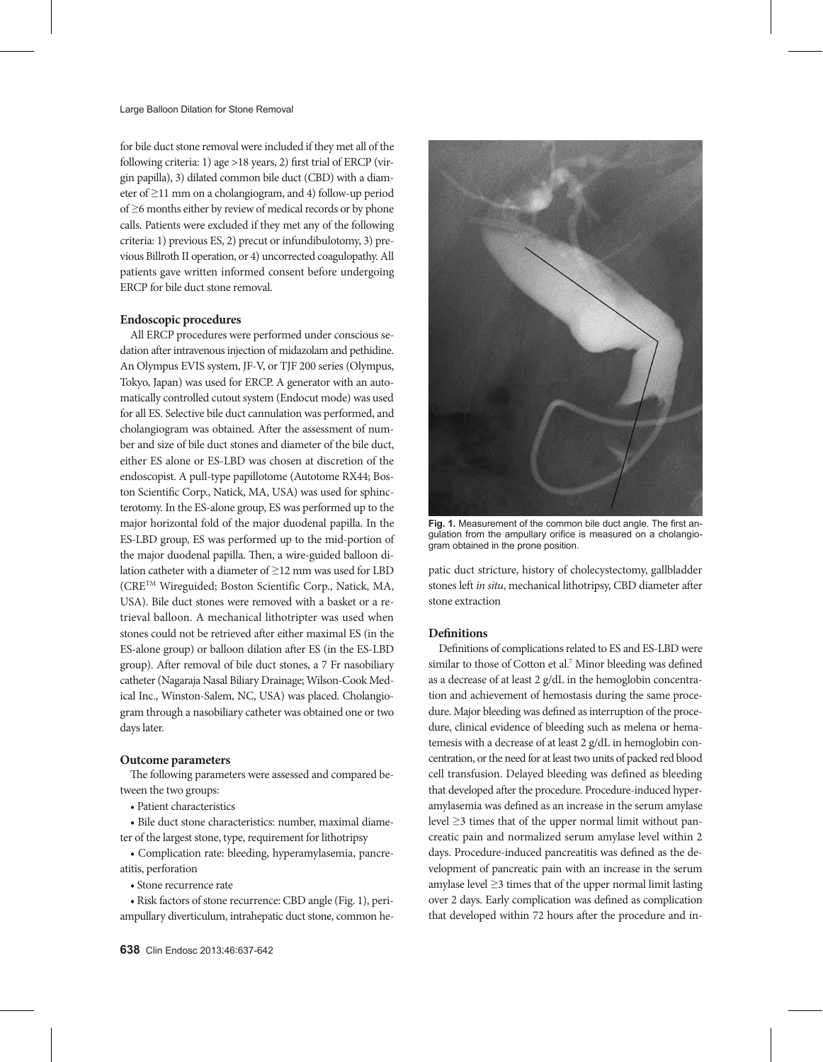for bile duct stone removal were included if they met all of the following criteria: 1) age >18 years, 2) first trial of ERCP (virgin papilla), 3) dilated common bile duct (CBD) with a diameter of ≥11 mm on a cholangiogram, and 4) follow-up period of ≥6 months either by review of medical records or by phone calls. Patients were excluded if they met any of the following criteria: 1) previous ES, 2) precut or infundibulotomy, 3) previous Billroth II operation, or 4) uncorrected coagulopathy. All patients gave written informed consent before undergoing ERCP for bile duct stone removal.

#### **Endoscopic procedures**

All ERCP procedures were performed under conscious sedation after intravenous injection of midazolam and pethidine. An Olympus EVIS system, JF-V, or TJF 200 series (Olympus, Tokyo, Japan) was used for ERCP. A generator with an automatically controlled cutout system (Endocut mode) was used for all ES. Selective bile duct cannulation was performed, and cholangiogram was obtained. After the assessment of number and size of bile duct stones and diameter of the bile duct, either ES alone or ES-LBD was chosen at discretion of the endoscopist. A pull-type papillotome (Autotome RX44; Boston Scientific Corp., Natick, MA, USA) was used for sphincterotomy. In the ES-alone group, ES was performed up to the major horizontal fold of the major duodenal papilla. In the ES-LBD group, ES was performed up to the mid-portion of the major duodenal papilla. Then, a wire-guided balloon dilation catheter with a diameter of ≥12 mm was used for LBD (CRETM Wireguided; Boston Scientific Corp., Natick, MA, USA). Bile duct stones were removed with a basket or a retrieval balloon. A mechanical lithotripter was used when stones could not be retrieved after either maximal ES (in the ES-alone group) or balloon dilation after ES (in the ES-LBD group). After removal of bile duct stones, a 7 Fr nasobiliary catheter (Nagaraja Nasal Biliary Drainage; Wilson-Cook Medical Inc., Winston-Salem, NC, USA) was placed. Cholangiogram through a nasobiliary catheter was obtained one or two days later.

#### **Outcome parameters**

The following parameters were assessed and compared between the two groups:

• Patient characteristics

• Bile duct stone characteristics: number, maximal diameter of the largest stone, type, requirement for lithotripsy

• Complication rate: bleeding, hyperamylasemia, pancreatitis, perforation

• Stone recurrence rate

• Risk factors of stone recurrence: CBD angle (Fig. 1), periampullary diverticulum, intrahepatic duct stone, common he-



**Fig. 1.** Measurement of the common bile duct angle. The first angulation from the ampullary orifice is measured on a cholangiogram obtained in the prone position.

patic duct stricture, history of cholecystectomy, gallbladder stones left *in situ*, mechanical lithotripsy, CBD diameter after stone extraction

#### **Definitions**

Definitions of complications related to ES and ES-LBD were similar to those of Cotton et al.<sup>7</sup> Minor bleeding was defined as a decrease of at least 2 g/dL in the hemoglobin concentration and achievement of hemostasis during the same procedure. Major bleeding was defined as interruption of the procedure, clinical evidence of bleeding such as melena or hematemesis with a decrease of at least 2 g/dL in hemoglobin concentration, or the need for at least two units of packed red blood cell transfusion. Delayed bleeding was defined as bleeding that developed after the procedure. Procedure-induced hyperamylasemia was defined as an increase in the serum amylase level ≥3 times that of the upper normal limit without pancreatic pain and normalized serum amylase level within 2 days. Procedure-induced pancreatitis was defined as the development of pancreatic pain with an increase in the serum amylase level ≥3 times that of the upper normal limit lasting over 2 days. Early complication was defined as complication that developed within 72 hours after the procedure and in-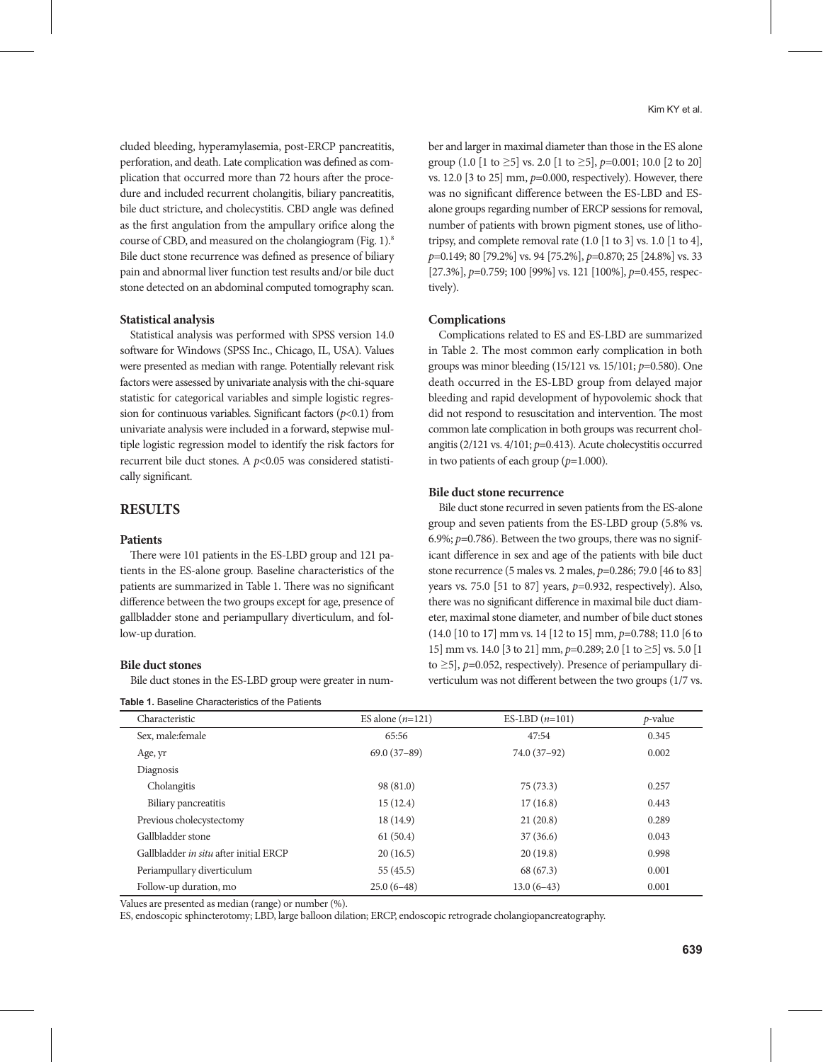cluded bleeding, hyperamylasemia, post-ERCP pancreatitis, perforation, and death. Late complication was defined as complication that occurred more than 72 hours after the procedure and included recurrent cholangitis, biliary pancreatitis, bile duct stricture, and cholecystitis. CBD angle was defined as the first angulation from the ampullary orifice along the course of CBD, and measured on the cholangiogram (Fig. 1).8 Bile duct stone recurrence was defined as presence of biliary pain and abnormal liver function test results and/or bile duct stone detected on an abdominal computed tomography scan.

### **Statistical analysis**

Statistical analysis was performed with SPSS version 14.0 software for Windows (SPSS Inc., Chicago, IL, USA). Values were presented as median with range. Potentially relevant risk factors were assessed by univariate analysis with the chi-square statistic for categorical variables and simple logistic regression for continuous variables. Significant factors (*p*<0.1) from univariate analysis were included in a forward, stepwise multiple logistic regression model to identify the risk factors for recurrent bile duct stones. A *p*<0.05 was considered statistically significant.

# **RESULTS**

### **Patients**

There were 101 patients in the ES-LBD group and 121 patients in the ES-alone group. Baseline characteristics of the patients are summarized in Table 1. There was no significant difference between the two groups except for age, presence of gallbladder stone and periampullary diverticulum, and follow-up duration.

### **Bile duct stones**

Bile duct stones in the ES-LBD group were greater in num-

| <b>Table 1.</b> Baseline Characteristics of the Patients |
|----------------------------------------------------------|
|----------------------------------------------------------|

ber and larger in maximal diameter than those in the ES alone group (1.0 [1 to  $\geq$ 5] vs. 2.0 [1 to  $\geq$ 5], *p*=0.001; 10.0 [2 to 20] vs. 12.0 [3 to 25] mm, *p*=0.000, respectively). However, there was no significant difference between the ES-LBD and ESalone groups regarding number of ERCP sessions for removal, number of patients with brown pigment stones, use of lithotripsy, and complete removal rate (1.0 [1 to 3] vs. 1.0 [1 to 4], *p*=0.149; 80 [79.2%] vs. 94 [75.2%], *p*=0.870; 25 [24.8%] vs. 33 [27.3%], *p*=0.759; 100 [99%] vs. 121 [100%], *p*=0.455, respectively).

#### **Complications**

Complications related to ES and ES-LBD are summarized in Table 2. The most common early complication in both groups was minor bleeding (15/121 vs. 15/101; *p*=0.580). One death occurred in the ES-LBD group from delayed major bleeding and rapid development of hypovolemic shock that did not respond to resuscitation and intervention. The most common late complication in both groups was recurrent cholangitis (2/121 vs. 4/101; *p*=0.413). Acute cholecystitis occurred in two patients of each group  $(p=1.000)$ .

## **Bile duct stone recurrence**

Bile duct stone recurred in seven patients from the ES-alone group and seven patients from the ES-LBD group (5.8% vs. 6.9%; *p*=0.786). Between the two groups, there was no significant difference in sex and age of the patients with bile duct stone recurrence (5 males vs. 2 males, *p*=0.286; 79.0 [46 to 83] years vs. 75.0 [51 to 87] years, *p*=0.932, respectively). Also, there was no significant difference in maximal bile duct diameter, maximal stone diameter, and number of bile duct stones (14.0 [10 to 17] mm vs. 14 [12 to 15] mm, *p*=0.788; 11.0 [6 to 15] mm vs. 14.0 [3 to 21] mm, *p*=0.289; 2.0 [1 to ≥5] vs. 5.0 [1 to ≥5], *p*=0.052, respectively). Presence of periampullary diverticulum was not different between the two groups (1/7 vs.

| Characteristic                         | ES alone $(n=121)$ | ES-LBD $(n=101)$ | $p$ -value |
|----------------------------------------|--------------------|------------------|------------|
| Sex, male: female                      | 65:56              | 47:54            | 0.345      |
| Age, yr                                | $69.0(37-89)$      | 74.0 (37-92)     | 0.002      |
| Diagnosis                              |                    |                  |            |
| Cholangitis                            | 98(81.0)           | 75(73.3)         | 0.257      |
| Biliary pancreatitis                   | 15(12.4)           | 17(16.8)         | 0.443      |
| Previous cholecystectomy               | 18(14.9)           | 21(20.8)         | 0.289      |
| Gallbladder stone                      | 61(50.4)           | 37(36.6)         | 0.043      |
| Gallbladder in situ after initial ERCP | 20(16.5)           | 20(19.8)         | 0.998      |
| Periampullary diverticulum             | 55(45.5)           | 68 (67.3)        | 0.001      |
| Follow-up duration, mo                 | $25.0(6-48)$       | $13.0(6-43)$     | 0.001      |

Values are presented as median (range) or number (%).

ES, endoscopic sphincterotomy; LBD, large balloon dilation; ERCP, endoscopic retrograde cholangiopancreatography.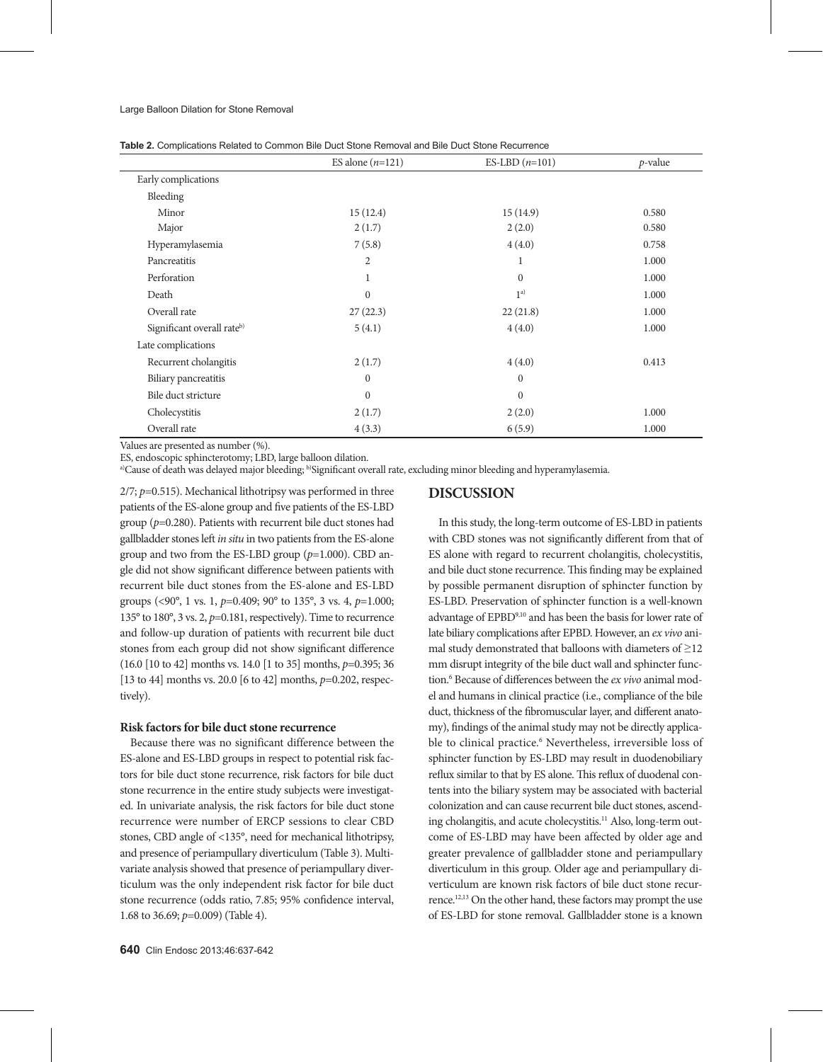|                            | ES alone $(n=121)$ | ES-LBD $(n=101)$ | $p$ -value |
|----------------------------|--------------------|------------------|------------|
| Early complications        |                    |                  |            |
| Bleeding                   |                    |                  |            |
| Minor                      | 15(12.4)           | 15(14.9)         | 0.580      |
| Major                      | 2(1.7)             | 2(2.0)           | 0.580      |
| Hyperamylasemia            | 7(5.8)             | 4(4.0)           | 0.758      |
| Pancreatitis               | $\overline{2}$     | 1                | 1.000      |
| Perforation                | 1                  | $\mathbf{0}$     | 1.000      |
| Death                      | $\mathbf{0}$       | 1 <sup>a</sup>   | 1.000      |
| Overall rate               | 27(22.3)           | 22(21.8)         | 1.000      |
| Significant overall rateb) | 5(4.1)             | 4(4.0)           | 1.000      |
| Late complications         |                    |                  |            |
| Recurrent cholangitis      | 2(1.7)             | 4(4.0)           | 0.413      |
| Biliary pancreatitis       | $\boldsymbol{0}$   | $\boldsymbol{0}$ |            |
| Bile duct stricture        | $\mathbf{0}$       | $\mathbf{0}$     |            |
| Cholecystitis              | 2(1.7)             | 2(2.0)           | 1.000      |
| Overall rate               | 4(3.3)             | 6(5.9)           | 1.000      |

**Table 2.** Complications Related to Common Bile Duct Stone Removal and Bile Duct Stone Recurrence

Values are presented as number (%).

ES, endoscopic sphincterotomy; LBD, large balloon dilation.

a)Cause of death was delayed major bleeding; b)Significant overall rate, excluding minor bleeding and hyperamylasemia.

2/7; *p*=0.515). Mechanical lithotripsy was performed in three patients of the ES-alone group and five patients of the ES-LBD group (*p*=0.280). Patients with recurrent bile duct stones had gallbladder stones left *in situ* in two patients from the ES-alone group and two from the ES-LBD group (*p*=1.000). CBD angle did not show significant difference between patients with recurrent bile duct stones from the ES-alone and ES-LBD groups (<90°, 1 vs. 1, *p*=0.409; 90° to 135°, 3 vs. 4, *p*=1.000; 135° to 180°, 3 vs. 2, *p*=0.181, respectively). Time to recurrence and follow-up duration of patients with recurrent bile duct stones from each group did not show significant difference (16.0 [10 to 42] months vs. 14.0 [1 to 35] months, *p*=0.395; 36 [13 to 44] months vs. 20.0 [6 to 42] months, *p*=0.202, respectively).

## **Risk factors for bile duct stone recurrence**

Because there was no significant difference between the ES-alone and ES-LBD groups in respect to potential risk factors for bile duct stone recurrence, risk factors for bile duct stone recurrence in the entire study subjects were investigated. In univariate analysis, the risk factors for bile duct stone recurrence were number of ERCP sessions to clear CBD stones, CBD angle of <135°, need for mechanical lithotripsy, and presence of periampullary diverticulum (Table 3). Multivariate analysis showed that presence of periampullary diverticulum was the only independent risk factor for bile duct stone recurrence (odds ratio, 7.85; 95% confidence interval, 1.68 to 36.69; *p*=0.009) (Table 4).

# **DISCUSSION**

In this study, the long-term outcome of ES-LBD in patients with CBD stones was not significantly different from that of ES alone with regard to recurrent cholangitis, cholecystitis, and bile duct stone recurrence. This finding may be explained by possible permanent disruption of sphincter function by ES-LBD. Preservation of sphincter function is a well-known advantage of EPBD9,10 and has been the basis for lower rate of late biliary complications after EPBD. However, an *ex vivo* animal study demonstrated that balloons with diameters of  $\geq$ 12 mm disrupt integrity of the bile duct wall and sphincter function.<sup>6</sup> Because of differences between the *ex vivo* animal model and humans in clinical practice (i.e., compliance of the bile duct, thickness of the fibromuscular layer, and different anatomy), findings of the animal study may not be directly applicable to clinical practice.<sup>6</sup> Nevertheless, irreversible loss of sphincter function by ES-LBD may result in duodenobiliary reflux similar to that by ES alone. This reflux of duodenal contents into the biliary system may be associated with bacterial colonization and can cause recurrent bile duct stones, ascending cholangitis, and acute cholecystitis.<sup>11</sup> Also, long-term outcome of ES-LBD may have been affected by older age and greater prevalence of gallbladder stone and periampullary diverticulum in this group. Older age and periampullary diverticulum are known risk factors of bile duct stone recurrence.12,13 On the other hand, these factors may prompt the use of ES-LBD for stone removal. Gallbladder stone is a known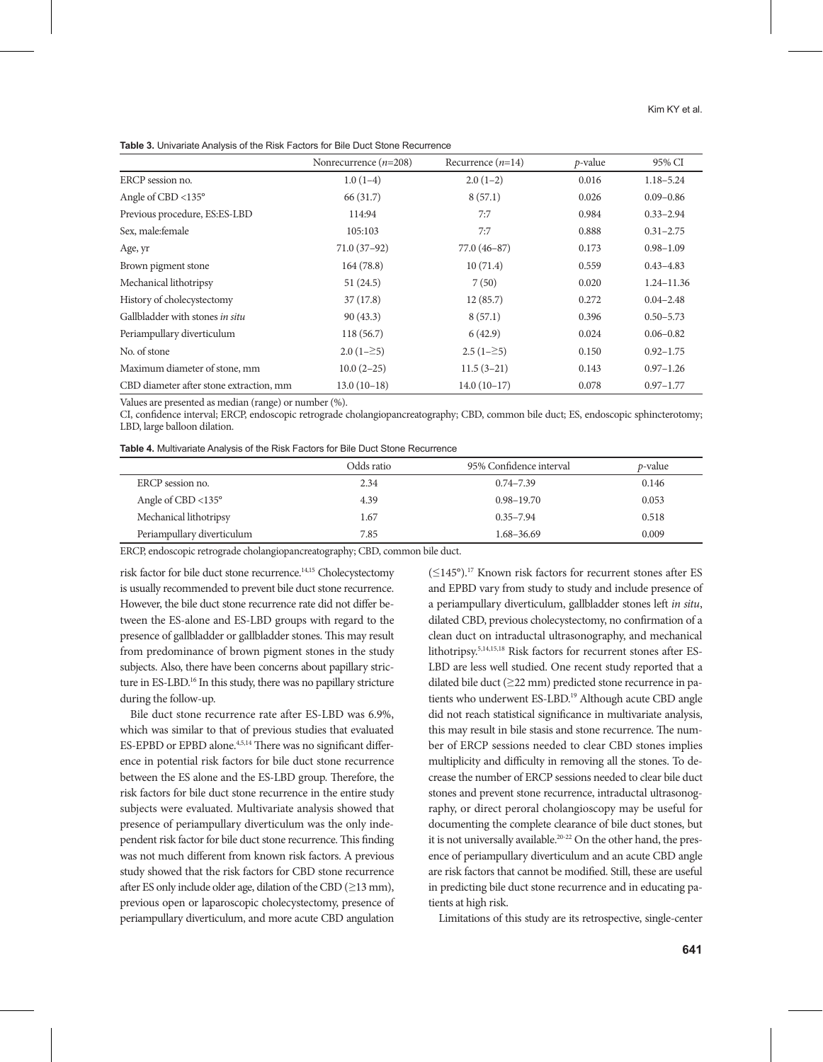|  | <b>Table 3.</b> Univariate Analysis of the Risk Factors for Bile Duct Stone Recurrence |
|--|----------------------------------------------------------------------------------------|
|--|----------------------------------------------------------------------------------------|

|                                         | Nonrecurrence $(n=208)$ | Recurrence $(n=14)$ | $p$ -value | 95% CI         |
|-----------------------------------------|-------------------------|---------------------|------------|----------------|
| ERCP session no.                        | $1.0(1-4)$              | $2.0(1-2)$          | 0.016      | $1.18 - 5.24$  |
| Angle of CBD <135 $^{\circ}$            | 66 (31.7)               | 8(57.1)             | 0.026      | $0.09 - 0.86$  |
| Previous procedure, ES: ES-LBD          | 114:94                  | 7:7                 | 0.984      | $0.33 - 2.94$  |
| Sex, male: female                       | 105:103                 | 7:7                 | 0.888      | $0.31 - 2.75$  |
| Age, yr                                 | $71.0(37-92)$           | $77.0(46-87)$       | 0.173      | $0.98 - 1.09$  |
| Brown pigment stone                     | 164(78.8)               | 10(71.4)            | 0.559      | $0.43 - 4.83$  |
| Mechanical lithotripsy                  | 51(24.5)                | 7(50)               | 0.020      | $1.24 - 11.36$ |
| History of cholecystectomy              | 37(17.8)                | 12(85.7)            | 0.272      | $0.04 - 2.48$  |
| Gallbladder with stones in situ         | 90(43.3)                | 8(57.1)             | 0.396      | $0.50 - 5.73$  |
| Periampullary diverticulum              | 118(56.7)               | 6(42.9)             | 0.024      | $0.06 - 0.82$  |
| No. of stone                            | $2.0(1-\geq 5)$         | $2.5(1-\geq 5)$     | 0.150      | $0.92 - 1.75$  |
| Maximum diameter of stone, mm           | $10.0(2-25)$            | $11.5(3-21)$        | 0.143      | $0.97 - 1.26$  |
| CBD diameter after stone extraction, mm | $13.0(10-18)$           | $14.0(10-17)$       | 0.078      | $0.97 - 1.77$  |

Values are presented as median (range) or number (%).

CI, confidence interval; ERCP, endoscopic retrograde cholangiopancreatography; CBD, common bile duct; ES, endoscopic sphincterotomy; LBD, large balloon dilation.

|  | Table 4. Multivariate Analysis of the Risk Factors for Bile Duct Stone Recurrence |  |  |  |  |
|--|-----------------------------------------------------------------------------------|--|--|--|--|
|--|-----------------------------------------------------------------------------------|--|--|--|--|

|                                  | Odds ratio | 95% Confidence interval | <i>p</i> -value |
|----------------------------------|------------|-------------------------|-----------------|
| ERCP session no.                 | 2.34       | $0.74 - 7.39$           | 0.146           |
| Angle of CBD $\langle 135^\circ$ | 4.39       | $0.98 - 19.70$          | 0.053           |
| Mechanical lithotripsy           | 1.67       | $0.35 - 7.94$           | 0.518           |
| Periampullary diverticulum       | 7.85       | 1.68–36.69              | 0.009           |

ERCP, endoscopic retrograde cholangiopancreatography; CBD, common bile duct.

risk factor for bile duct stone recurrence.14,15 Cholecystectomy is usually recommended to prevent bile duct stone recurrence. However, the bile duct stone recurrence rate did not differ between the ES-alone and ES-LBD groups with regard to the presence of gallbladder or gallbladder stones. This may result from predominance of brown pigment stones in the study subjects. Also, there have been concerns about papillary stricture in ES-LBD.<sup>16</sup> In this study, there was no papillary stricture during the follow-up.

Bile duct stone recurrence rate after ES-LBD was 6.9%, which was similar to that of previous studies that evaluated ES-EPBD or EPBD alone.<sup>4,5,14</sup> There was no significant difference in potential risk factors for bile duct stone recurrence between the ES alone and the ES-LBD group. Therefore, the risk factors for bile duct stone recurrence in the entire study subjects were evaluated. Multivariate analysis showed that presence of periampullary diverticulum was the only independent risk factor for bile duct stone recurrence. This finding was not much different from known risk factors. A previous study showed that the risk factors for CBD stone recurrence after ES only include older age, dilation of the CBD ( $\geq$ 13 mm), previous open or laparoscopic cholecystectomy, presence of periampullary diverticulum, and more acute CBD angulation (≤145°).17 Known risk factors for recurrent stones after ES and EPBD vary from study to study and include presence of a periampullary diverticulum, gallbladder stones left *in situ*, dilated CBD, previous cholecystectomy, no confirmation of a clean duct on intraductal ultrasonography, and mechanical lithotripsy.5,14,15,18 Risk factors for recurrent stones after ES-LBD are less well studied. One recent study reported that a dilated bile duct (≥22 mm) predicted stone recurrence in patients who underwent ES-LBD.<sup>19</sup> Although acute CBD angle did not reach statistical significance in multivariate analysis, this may result in bile stasis and stone recurrence. The number of ERCP sessions needed to clear CBD stones implies multiplicity and difficulty in removing all the stones. To decrease the number of ERCP sessions needed to clear bile duct stones and prevent stone recurrence, intraductal ultrasonography, or direct peroral cholangioscopy may be useful for documenting the complete clearance of bile duct stones, but it is not universally available.<sup>20-22</sup> On the other hand, the presence of periampullary diverticulum and an acute CBD angle are risk factors that cannot be modified. Still, these are useful in predicting bile duct stone recurrence and in educating patients at high risk.

Limitations of this study are its retrospective, single-center